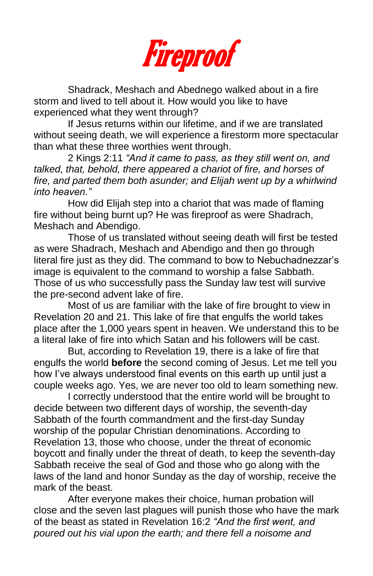

Shadrack, Meshach and Abednego walked about in a fire storm and lived to tell about it. How would you like to have experienced what they went through?

If Jesus returns within our lifetime, and if we are translated without seeing death, we will experience a firestorm more spectacular than what these three worthies went through.

2 Kings 2:11 *"And it came to pass, as they still went on, and talked, that, behold, there appeared a chariot of fire, and horses of fire, and parted them both asunder; and Elijah went up by a whirlwind into heaven."*

How did Elijah step into a chariot that was made of flaming fire without being burnt up? He was fireproof as were Shadrach, Meshach and Abendigo.

Those of us translated without seeing death will first be tested as were Shadrach, Meshach and Abendigo and then go through literal fire just as they did. The command to bow to Nebuchadnezzar's image is equivalent to the command to worship a false Sabbath. Those of us who successfully pass the Sunday law test will survive the pre-second advent lake of fire.

Most of us are familiar with the lake of fire brought to view in Revelation 20 and 21. This lake of fire that engulfs the world takes place after the 1,000 years spent in heaven. We understand this to be a literal lake of fire into which Satan and his followers will be cast.

But, according to Revelation 19, there is a lake of fire that engulfs the world **before** the second coming of Jesus. Let me tell you how I've always understood final events on this earth up until just a couple weeks ago. Yes, we are never too old to learn something new.

I correctly understood that the entire world will be brought to decide between two different days of worship, the seventh-day Sabbath of the fourth commandment and the first-day Sunday worship of the popular Christian denominations. According to Revelation 13, those who choose, under the threat of economic boycott and finally under the threat of death, to keep the seventh-day Sabbath receive the seal of God and those who go along with the laws of the land and honor Sunday as the day of worship, receive the mark of the beast.

After everyone makes their choice, human probation will close and the seven last plagues will punish those who have the mark of the beast as stated in Revelation 16:2 *"And the first went, and poured out his vial upon the earth; and there fell a noisome and*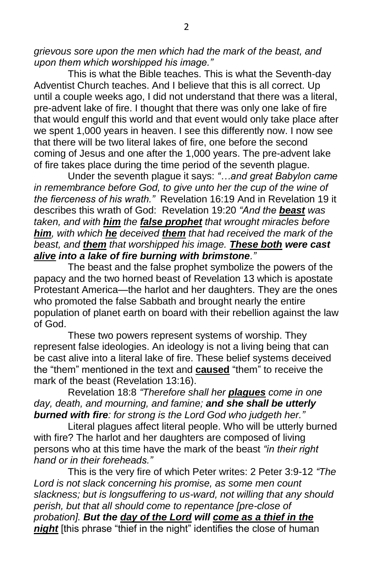*grievous sore upon the men which had the mark of the beast, and upon them which worshipped his image."*

This is what the Bible teaches. This is what the Seventh-day Adventist Church teaches. And I believe that this is all correct. Up until a couple weeks ago, I did not understand that there was a literal, pre-advent lake of fire. I thought that there was only one lake of fire that would engulf this world and that event would only take place after we spent 1,000 years in heaven. I see this differently now. I now see that there will be two literal lakes of fire, one before the second coming of Jesus and one after the 1,000 years. The pre-advent lake of fire takes place during the time period of the seventh plague.

Under the seventh plague it says: *"…and great Babylon came in remembrance before God, to give unto her the cup of the wine of the fierceness of his wrath."* Revelation 16:19 And in Revelation 19 it describes this wrath of God: Revelation 19:20 *"And the beast was taken, and with him the false prophet that wrought miracles before him, with which he deceived them that had received the mark of the beast, and them that worshipped his image. These both were cast alive into a lake of fire burning with brimstone."*

The beast and the false prophet symbolize the powers of the papacy and the two horned beast of Revelation 13 which is apostate Protestant America—the harlot and her daughters. They are the ones who promoted the false Sabbath and brought nearly the entire population of planet earth on board with their rebellion against the law of God.

These two powers represent systems of worship. They represent false ideologies. An ideology is not a living being that can be cast alive into a literal lake of fire. These belief systems deceived the "them" mentioned in the text and **caused** "them" to receive the mark of the beast (Revelation 13:16).

Revelation 18:8 *"Therefore shall her plagues come in one day, death, and mourning, and famine; and she shall be utterly burned with fire: for strong is the Lord God who judgeth her."*

Literal plagues affect literal people. Who will be utterly burned with fire? The harlot and her daughters are composed of living persons who at this time have the mark of the beast *"in their right hand or in their foreheads."*

This is the very fire of which Peter writes: 2 Peter 3:9-12 *"The Lord is not slack concerning his promise, as some men count slackness; but is longsuffering to us-ward, not willing that any should perish, but that all should come to repentance [pre-close of probation]. But the day of the Lord will come as a thief in the night* [this phrase "thief in the night" identifies the close of human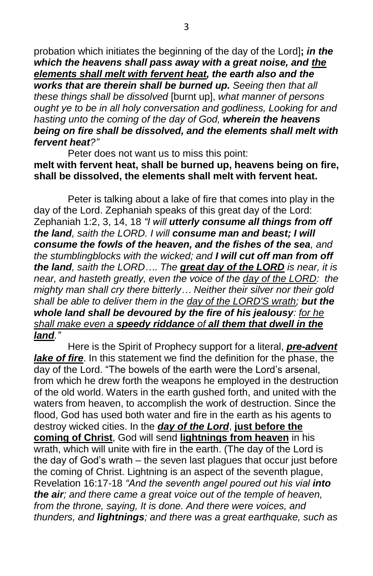probation which initiates the beginning of the day of the Lord]**;** *in the which the heavens shall pass away with a great noise, and the elements shall melt with fervent heat, the earth also and the works that are therein shall be burned up. Seeing then that all these things shall be dissolved* [burnt up], *what manner of persons ought ye to be in all holy conversation and godliness, Looking for and hasting unto the coming of the day of God, wherein the heavens being on fire shall be dissolved, and the elements shall melt with fervent heat?"*

Peter does not want us to miss this point: **melt with fervent heat, shall be burned up, heavens being on fire, shall be dissolved, the elements shall melt with fervent heat.**

Peter is talking about a lake of fire that comes into play in the day of the Lord. Zephaniah speaks of this great day of the Lord: Zephaniah 1:2, 3, 14, 18 *"I will utterly consume all things from off the land, saith the LORD. I will consume man and beast; I will consume the fowls of the heaven, and the fishes of the sea, and the stumblingblocks with the wicked; and I will cut off man from off the land, saith the LORD…. The great day of the LORD is near, it is near, and hasteth greatly, even the voice of the day of the LORD: the mighty man shall cry there bitterly… Neither their silver nor their gold shall be able to deliver them in the day of the LORD'S wrath; but the whole land shall be devoured by the fire of his jealousy: for he shall make even a speedy riddance of all them that dwell in the land."*

Here is the Spirit of Prophecy support for a literal, *pre-advent lake of fire*. In this statement we find the definition for the phase, the day of the Lord. "The bowels of the earth were the Lord's arsenal, from which he drew forth the weapons he employed in the destruction of the old world. Waters in the earth gushed forth, and united with the waters from heaven, to accomplish the work of destruction. Since the flood, God has used both water and fire in the earth as his agents to destroy wicked cities. In the *day of the Lord*, **just before the coming of Christ**, God will send **lightnings from heaven** in his wrath, which will unite with fire in the earth. (The day of the Lord is the day of God's wrath – the seven last plagues that occur just before the coming of Christ. Lightning is an aspect of the seventh plague, Revelation 16:17-18 *"And the seventh angel poured out his vial into the air; and there came a great voice out of the temple of heaven, from the throne, saying, It is done. And there were voices, and thunders, and lightnings; and there was a great earthquake, such as*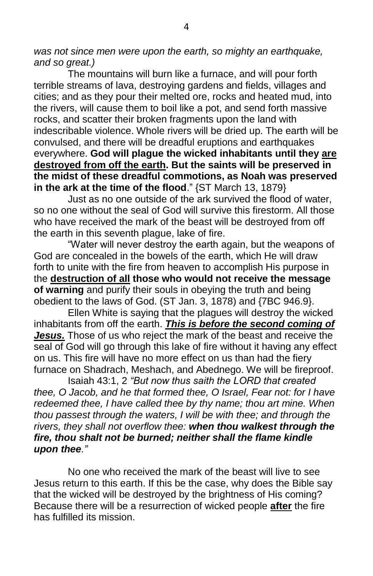*was not since men were upon the earth, so mighty an earthquake, and so great.)*

The mountains will burn like a furnace, and will pour forth terrible streams of lava, destroying gardens and fields, villages and cities; and as they pour their melted ore, rocks and heated mud, into the rivers, will cause them to boil like a pot, and send forth massive rocks, and scatter their broken fragments upon the land with indescribable violence. Whole rivers will be dried up. The earth will be convulsed, and there will be dreadful eruptions and earthquakes everywhere. **God will plague the wicked inhabitants until they are destroyed from off the earth. But the saints will be preserved in the midst of these dreadful commotions, as Noah was preserved in the ark at the time of the flood**." {ST March 13, 1879}

Just as no one outside of the ark survived the flood of water, so no one without the seal of God will survive this firestorm. All those who have received the mark of the beast will be destroyed from off the earth in this seventh plague, lake of fire.

"Water will never destroy the earth again, but the weapons of God are concealed in the bowels of the earth, which He will draw forth to unite with the fire from heaven to accomplish His purpose in the **destruction of all those who would not receive the message of warning** and purify their souls in obeying the truth and being obedient to the laws of God. (ST Jan. 3, 1878) and {7BC 946.9}.

Ellen White is saying that the plagues will destroy the wicked inhabitants from off the earth. *This is before the second coming of Jesus.* Those of us who reject the mark of the beast and receive the seal of God will go through this lake of fire without it having any effect on us. This fire will have no more effect on us than had the fiery furnace on Shadrach, Meshach, and Abednego. We will be fireproof.

Isaiah 43:1, 2 *"But now thus saith the LORD that created thee, O Jacob, and he that formed thee, O Israel, Fear not: for I have redeemed thee, I have called thee by thy name; thou art mine. When thou passest through the waters, I will be with thee; and through the rivers, they shall not overflow thee: when thou walkest through the fire, thou shalt not be burned; neither shall the flame kindle upon thee."*

No one who received the mark of the beast will live to see Jesus return to this earth. If this be the case, why does the Bible say that the wicked will be destroyed by the brightness of His coming? Because there will be a resurrection of wicked people **after** the fire has fulfilled its mission.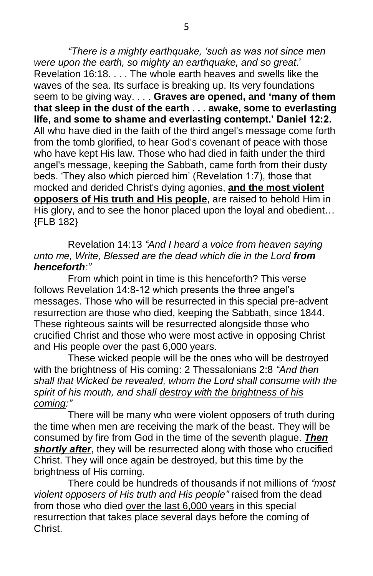*"There is a mighty earthquake, 'such as was not since men were upon the earth, so mighty an earthquake, and so great*.' Revelation 16:18. . . . The whole earth heaves and swells like the waves of the sea. Its surface is breaking up. Its very foundations seem to be giving way. . . . **Graves are opened, and 'many of them that sleep in the dust of the earth . . . awake, some to everlasting life, and some to shame and everlasting contempt.' Daniel 12:2.** All who have died in the faith of the third angel's message come forth from the tomb glorified, to hear God's covenant of peace with those who have kept His law. Those who had died in faith under the third angel's message, keeping the Sabbath, came forth from their dusty beds. 'They also which pierced him' (Revelation 1:7), those that mocked and derided Christ's dying agonies, **and the most violent opposers of His truth and His people**, are raised to behold Him in His glory, and to see the honor placed upon the loyal and obedient... {FLB 182}

Revelation 14:13 *"And I heard a voice from heaven saying unto me, Write, Blessed are the dead which die in the Lord from henceforth:"*

From which point in time is this henceforth? This verse follows Revelation 14:8-12 which presents the three angel's messages. Those who will be resurrected in this special pre-advent resurrection are those who died, keeping the Sabbath, since 1844. These righteous saints will be resurrected alongside those who crucified Christ and those who were most active in opposing Christ and His people over the past 6,000 years.

These wicked people will be the ones who will be destroyed with the brightness of His coming: 2 Thessalonians 2:8 *"And then shall that Wicked be revealed, whom the Lord shall consume with the spirit of his mouth, and shall destroy with the brightness of his coming:"*

There will be many who were violent opposers of truth during the time when men are receiving the mark of the beast. They will be consumed by fire from God in the time of the seventh plague. *Then shortly after*, they will be resurrected along with those who crucified Christ. They will once again be destroyed, but this time by the brightness of His coming.

There could be hundreds of thousands if not millions of *"most violent opposers of His truth and His people"* raised from the dead from those who died over the last 6,000 years in this special resurrection that takes place several days before the coming of Christ.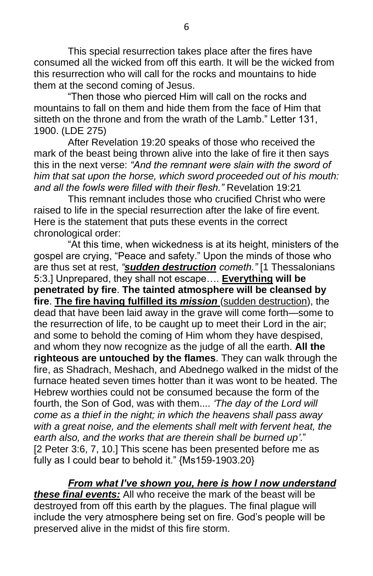This special resurrection takes place after the fires have consumed all the wicked from off this earth. It will be the wicked from this resurrection who will call for the rocks and mountains to hide them at the second coming of Jesus.

"Then those who pierced Him will call on the rocks and mountains to fall on them and hide them from the face of Him that sitteth on the throne and from the wrath of the Lamb." Letter 131, 1900. (LDE 275)

After Revelation 19:20 speaks of those who received the mark of the beast being thrown alive into the lake of fire it then says this in the next verse: *"And the remnant were slain with the sword of him that sat upon the horse, which sword proceeded out of his mouth: and all the fowls were filled with their flesh."* Revelation 19:21

This remnant includes those who crucified Christ who were raised to life in the special resurrection after the lake of fire event. Here is the statement that puts these events in the correct chronological order:

"At this time, when wickedness is at its height, ministers of the gospel are crying, "Peace and safety." Upon the minds of those who are thus set at rest, *"sudden destruction cometh."* [1 Thessalonians 5:3.] Unprepared, they shall not escape…. **Everything will be penetrated by fire**. **The tainted atmosphere will be cleansed by fire**. **The fire having fulfilled its** *mission* (sudden destruction), the dead that have been laid away in the grave will come forth—some to the resurrection of life, to be caught up to meet their Lord in the air; and some to behold the coming of Him whom they have despised, and whom they now recognize as the judge of all the earth. **All the righteous are untouched by the flames**. They can walk through the fire, as Shadrach, Meshach, and Abednego walked in the midst of the furnace heated seven times hotter than it was wont to be heated. The Hebrew worthies could not be consumed because the form of the fourth, the Son of God, was with them.... *'The day of the Lord will come as a thief in the night; in which the heavens shall pass away with a great noise, and the elements shall melt with fervent heat, the earth also, and the works that are therein shall be burned up'*." [2 Peter 3:6, 7, 10.] This scene has been presented before me as fully as I could bear to behold it." {Ms159-1903.20}

*From what I've shown you, here is how I now understand these final events:* All who receive the mark of the beast will be destroyed from off this earth by the plagues. The final plague will include the very atmosphere being set on fire. God's people will be preserved alive in the midst of this fire storm.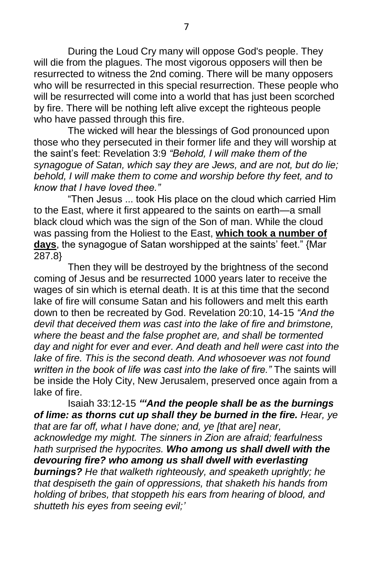During the Loud Cry many will oppose God's people. They will die from the plagues. The most vigorous opposers will then be resurrected to witness the 2nd coming. There will be many opposers who will be resurrected in this special resurrection. These people who will be resurrected will come into a world that has just been scorched by fire. There will be nothing left alive except the righteous people who have passed through this fire.

The wicked will hear the blessings of God pronounced upon those who they persecuted in their former life and they will worship at the saint's feet: Revelation 3:9 *"Behold, I will make them of the synagogue of Satan, which say they are Jews, and are not, but do lie; behold, I will make them to come and worship before thy feet, and to know that I have loved thee."*

"Then Jesus ... took His place on the cloud which carried Him to the East, where it first appeared to the saints on earth—a small black cloud which was the sign of the Son of man. While the cloud was passing from the Holiest to the East, **which took a number of days**, the synagogue of Satan worshipped at the saints' feet." {Mar 287.8}

Then they will be destroyed by the brightness of the second coming of Jesus and be resurrected 1000 years later to receive the wages of sin which is eternal death. It is at this time that the second lake of fire will consume Satan and his followers and melt this earth down to then be recreated by God. Revelation 20:10, 14-15 *"And the devil that deceived them was cast into the lake of fire and brimstone, where the beast and the false prophet are, and shall be tormented day and night for ever and ever. And death and hell were cast into the lake of fire. This is the second death. And whosoever was not found written in the book of life was cast into the lake of fire."* The saints will be inside the Holy City, New Jerusalem, preserved once again from a lake of fire.

Isaiah 33:12-15 *"'And the people shall be as the burnings of lime: as thorns cut up shall they be burned in the fire. Hear, ye that are far off, what I have done; and, ye [that are] near, acknowledge my might. The sinners in Zion are afraid; fearfulness hath surprised the hypocrites. Who among us shall dwell with the devouring fire? who among us shall dwell with everlasting burnings? He that walketh righteously, and speaketh uprightly; he that despiseth the gain of oppressions, that shaketh his hands from holding of bribes, that stoppeth his ears from hearing of blood, and shutteth his eyes from seeing evil;'*